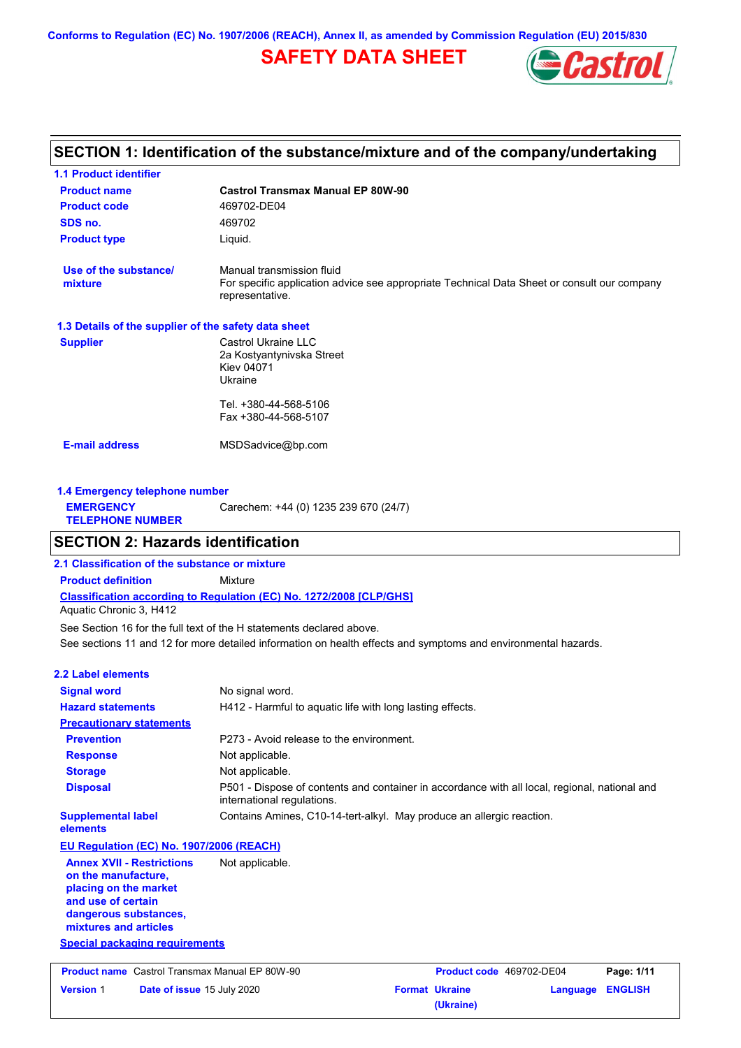**Conforms to Regulation (EC) No. 1907/2006 (REACH), Annex II, as amended by Commission Regulation (EU) 2015/830**

# **SAFETY DATA SHEET**



## **SECTION 1: Identification of the substance/mixture and of the company/undertaking**

| <b>1.1 Product identifier</b>                        |                                                                                                                                             |
|------------------------------------------------------|---------------------------------------------------------------------------------------------------------------------------------------------|
| <b>Product name</b>                                  | <b>Castrol Transmax Manual EP 80W-90</b>                                                                                                    |
| <b>Product code</b>                                  | 469702-DE04                                                                                                                                 |
| SDS no.                                              | 469702                                                                                                                                      |
| <b>Product type</b>                                  | Liquid.                                                                                                                                     |
| Use of the substance/<br>mixture                     | Manual transmission fluid<br>For specific application advice see appropriate Technical Data Sheet or consult our company<br>representative. |
| 1.3 Details of the supplier of the safety data sheet |                                                                                                                                             |
| <b>Supplier</b>                                      | Castrol Ukraine LLC<br>2a Kostyantynivska Street<br>Kiev 04071<br>Ukraine                                                                   |
|                                                      | Tel. +380-44-568-5106                                                                                                                       |
|                                                      | Fax +380-44-568-5107                                                                                                                        |
| <b>E-mail address</b>                                | MSDSadvice@bp.com                                                                                                                           |
| 1.4 Emergency telephone number                       |                                                                                                                                             |
| <b>EMERGENCY</b>                                     | Carechem: +44 (0) 1235 239 670 (24/7)                                                                                                       |

## **SECTION 2: Hazards identification**

**2.1 Classification of the substance or mixture Product definition** Mixture

**Classification according to Regulation (EC) No. 1272/2008 [CLP/GHS]**

Aquatic Chronic 3, H412

**TELEPHONE NUMBER**

See sections 11 and 12 for more detailed information on health effects and symptoms and environmental hazards. See Section 16 for the full text of the H statements declared above.

|  |  | 2.2 Label elements |  |
|--|--|--------------------|--|
|--|--|--------------------|--|

| <b>Signal word</b>                                                                                                                                       | No signal word.                                                                                                             |                          |                            |
|----------------------------------------------------------------------------------------------------------------------------------------------------------|-----------------------------------------------------------------------------------------------------------------------------|--------------------------|----------------------------|
| <b>Hazard statements</b>                                                                                                                                 | H412 - Harmful to aquatic life with long lasting effects.                                                                   |                          |                            |
| <b>Precautionary statements</b>                                                                                                                          |                                                                                                                             |                          |                            |
| <b>Prevention</b>                                                                                                                                        | P273 - Avoid release to the environment.                                                                                    |                          |                            |
| <b>Response</b>                                                                                                                                          | Not applicable.                                                                                                             |                          |                            |
| <b>Storage</b>                                                                                                                                           | Not applicable.                                                                                                             |                          |                            |
| <b>Disposal</b>                                                                                                                                          | P501 - Dispose of contents and container in accordance with all local, regional, national and<br>international regulations. |                          |                            |
| <b>Supplemental label</b><br>elements                                                                                                                    | Contains Amines, C10-14-tert-alkyl. May produce an allergic reaction.                                                       |                          |                            |
| EU Regulation (EC) No. 1907/2006 (REACH)                                                                                                                 |                                                                                                                             |                          |                            |
| <b>Annex XVII - Restrictions</b><br>on the manufacture.<br>placing on the market<br>and use of certain<br>dangerous substances,<br>mixtures and articles | Not applicable.                                                                                                             |                          |                            |
| <b>Special packaging requirements</b>                                                                                                                    |                                                                                                                             |                          |                            |
| <b>Product name</b> Castrol Transmax Manual EP 80W-90                                                                                                    |                                                                                                                             | Product code 469702-DE04 | Page: 1/11                 |
| <b>Version 1</b><br>Date of issue 15 July 2020                                                                                                           |                                                                                                                             | <b>Format Ukraine</b>    | <b>ENGLISH</b><br>Language |

**(Ukraine)**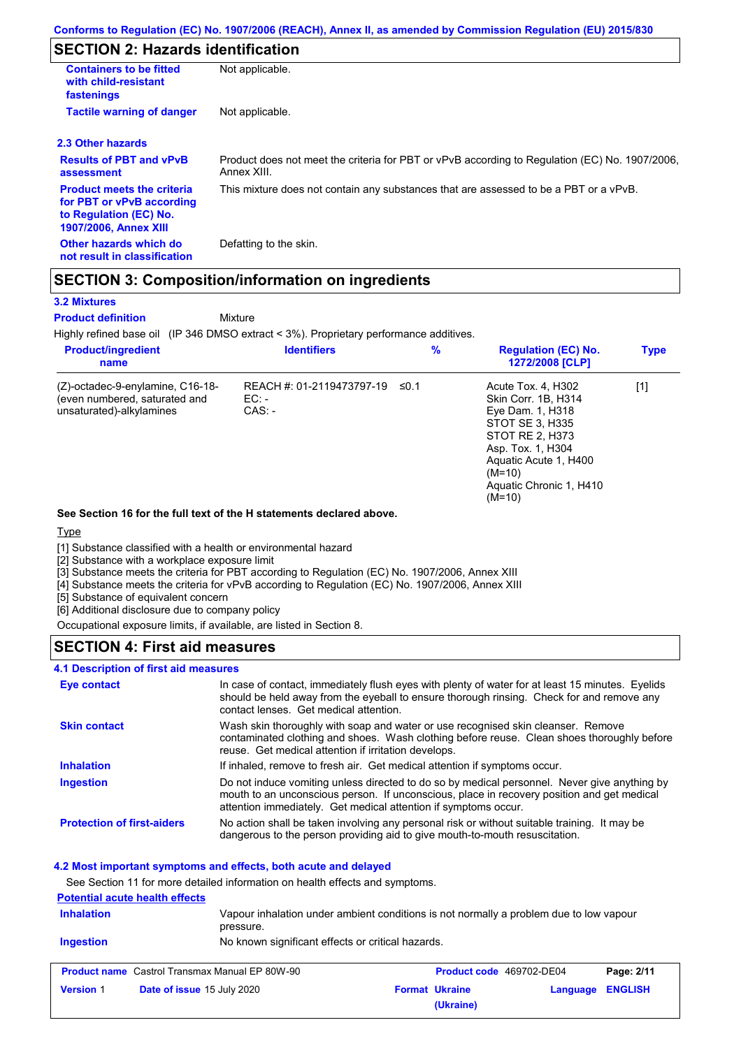## **SECTION 2: Hazards identification**

| <b>Containers to be fitted</b><br>with child-resistant<br>fastenings                                                     | Not applicable.                                                                                               |
|--------------------------------------------------------------------------------------------------------------------------|---------------------------------------------------------------------------------------------------------------|
| <b>Tactile warning of danger</b>                                                                                         | Not applicable.                                                                                               |
| 2.3 Other hazards                                                                                                        |                                                                                                               |
| <b>Results of PBT and vPvB</b><br>assessment                                                                             | Product does not meet the criteria for PBT or vPvB according to Regulation (EC) No. 1907/2006,<br>Annex XIII. |
| <b>Product meets the criteria</b><br>for PBT or vPvB according<br>to Regulation (EC) No.<br><b>1907/2006, Annex XIII</b> | This mixture does not contain any substances that are assessed to be a PBT or a vPvB.                         |
| Other hazards which do<br>not result in classification                                                                   | Defatting to the skin.                                                                                        |

## **SECTION 3: Composition/information on ingredients**

#### **3.2 Mixtures**

**Product definition**

Mixture

Highly refined base oil (IP 346 DMSO extract < 3%). Proprietary performance additives.

| <b>Product/ingredient</b><br>name                                                             | <b>Identifiers</b>                           | $\%$ | <b>Regulation (EC) No.</b><br>1272/2008 [CLP]                                                                                                                                                        | <b>Type</b> |
|-----------------------------------------------------------------------------------------------|----------------------------------------------|------|------------------------------------------------------------------------------------------------------------------------------------------------------------------------------------------------------|-------------|
| (Z)-octadec-9-enylamine, C16-18-<br>(even numbered, saturated and<br>unsaturated)-alkylamines | REACH #: 01-2119473797-19<br>EC:<br>$CAS: -$ | ≤0.1 | Acute Tox. 4, H302<br>Skin Corr. 1B, H314<br>Eye Dam. 1, H318<br>STOT SE 3, H335<br>STOT RE 2, H373<br>Asp. Tox. 1, H304<br>Aquatic Acute 1, H400<br>$(M=10)$<br>Aquatic Chronic 1, H410<br>$(M=10)$ | [1]         |

#### **See Section 16 for the full text of the H statements declared above.**

#### **Type**

[1] Substance classified with a health or environmental hazard

[2] Substance with a workplace exposure limit

[3] Substance meets the criteria for PBT according to Regulation (EC) No. 1907/2006, Annex XIII

[4] Substance meets the criteria for vPvB according to Regulation (EC) No. 1907/2006, Annex XIII

[5] Substance of equivalent concern

[6] Additional disclosure due to company policy

Occupational exposure limits, if available, are listed in Section 8.

### **SECTION 4: First aid measures**

#### **4.1 Description of first aid measures**

| Eye contact                       | In case of contact, immediately flush eyes with plenty of water for at least 15 minutes. Eyelids<br>should be held away from the eyeball to ensure thorough rinsing. Check for and remove any<br>contact lenses. Get medical attention.                       |
|-----------------------------------|---------------------------------------------------------------------------------------------------------------------------------------------------------------------------------------------------------------------------------------------------------------|
| <b>Skin contact</b>               | Wash skin thoroughly with soap and water or use recognised skin cleanser. Remove<br>contaminated clothing and shoes. Wash clothing before reuse. Clean shoes thoroughly before<br>reuse. Get medical attention if irritation develops.                        |
| <b>Inhalation</b>                 | If inhaled, remove to fresh air. Get medical attention if symptoms occur.                                                                                                                                                                                     |
| <b>Ingestion</b>                  | Do not induce vomiting unless directed to do so by medical personnel. Never give anything by<br>mouth to an unconscious person. If unconscious, place in recovery position and get medical<br>attention immediately. Get medical attention if symptoms occur. |
| <b>Protection of first-aiders</b> | No action shall be taken involving any personal risk or without suitable training. It may be<br>dangerous to the person providing aid to give mouth-to-mouth resuscitation.                                                                                   |

### **4.2 Most important symptoms and effects, both acute and delayed**

See Section 11 for more detailed information on health effects and symptoms.

### **Potential acute health effects**

| <b>Inhalation</b><br><b>Ingestion</b> | Vapour inhalation under ambient conditions is not normally a problem due to low vapour<br>pressure.<br>No known significant effects or critical hazards. |                       |                          |            |
|---------------------------------------|----------------------------------------------------------------------------------------------------------------------------------------------------------|-----------------------|--------------------------|------------|
|                                       | <b>Product name</b> Castrol Transmax Manual EP 80W-90                                                                                                    |                       | Product code 469702-DE04 | Page: 2/11 |
| <b>Version 1</b>                      | Date of issue 15 July 2020                                                                                                                               | <b>Format Ukraine</b> | <b>Language ENGLISH</b>  |            |

**(Ukraine)**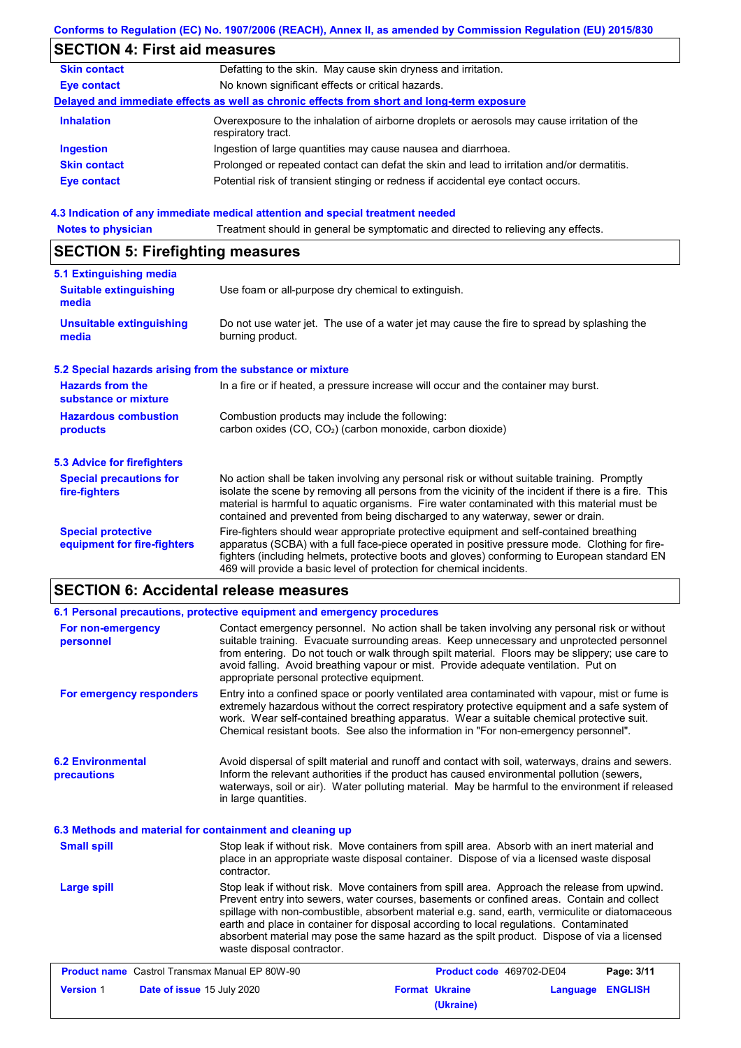|                                                           | Conforms to Regulation (EC) No. 1907/2006 (REACH), Annex II, as amended by Commission Regulation (EU) 2015/830                                                                                                                                                                                                                                                                        |
|-----------------------------------------------------------|---------------------------------------------------------------------------------------------------------------------------------------------------------------------------------------------------------------------------------------------------------------------------------------------------------------------------------------------------------------------------------------|
| <b>SECTION 4: First aid measures</b>                      |                                                                                                                                                                                                                                                                                                                                                                                       |
| <b>Skin contact</b>                                       | Defatting to the skin. May cause skin dryness and irritation.                                                                                                                                                                                                                                                                                                                         |
| <b>Eye contact</b>                                        | No known significant effects or critical hazards.                                                                                                                                                                                                                                                                                                                                     |
|                                                           | Delayed and immediate effects as well as chronic effects from short and long-term exposure                                                                                                                                                                                                                                                                                            |
| <b>Inhalation</b>                                         | Overexposure to the inhalation of airborne droplets or aerosols may cause irritation of the<br>respiratory tract.                                                                                                                                                                                                                                                                     |
| <b>Ingestion</b>                                          | Ingestion of large quantities may cause nausea and diarrhoea.                                                                                                                                                                                                                                                                                                                         |
| <b>Skin contact</b>                                       | Prolonged or repeated contact can defat the skin and lead to irritation and/or dermatitis.                                                                                                                                                                                                                                                                                            |
| <b>Eye contact</b>                                        | Potential risk of transient stinging or redness if accidental eye contact occurs.                                                                                                                                                                                                                                                                                                     |
|                                                           | 4.3 Indication of any immediate medical attention and special treatment needed                                                                                                                                                                                                                                                                                                        |
| <b>Notes to physician</b>                                 | Treatment should in general be symptomatic and directed to relieving any effects.                                                                                                                                                                                                                                                                                                     |
| <b>SECTION 5: Firefighting measures</b>                   |                                                                                                                                                                                                                                                                                                                                                                                       |
| 5.1 Extinguishing media                                   |                                                                                                                                                                                                                                                                                                                                                                                       |
| <b>Suitable extinguishing</b><br>media                    | Use foam or all-purpose dry chemical to extinguish.                                                                                                                                                                                                                                                                                                                                   |
| <b>Unsuitable extinguishing</b><br>media                  | Do not use water jet. The use of a water jet may cause the fire to spread by splashing the<br>burning product.                                                                                                                                                                                                                                                                        |
| 5.2 Special hazards arising from the substance or mixture |                                                                                                                                                                                                                                                                                                                                                                                       |
| <b>Hazards from the</b><br>substance or mixture           | In a fire or if heated, a pressure increase will occur and the container may burst.                                                                                                                                                                                                                                                                                                   |
| <b>Hazardous combustion</b><br>products                   | Combustion products may include the following:<br>carbon oxides (CO, CO2) (carbon monoxide, carbon dioxide)                                                                                                                                                                                                                                                                           |
| <b>5.3 Advice for firefighters</b>                        |                                                                                                                                                                                                                                                                                                                                                                                       |
| <b>Special precautions for</b><br>fire-fighters           | No action shall be taken involving any personal risk or without suitable training. Promptly<br>isolate the scene by removing all persons from the vicinity of the incident if there is a fire. This<br>material is harmful to aquatic organisms. Fire water contaminated with this material must be<br>contained and prevented from being discharged to any waterway, sewer or drain. |
| <b>Special protective</b><br>equipment for fire-fighters  | Fire-fighters should wear appropriate protective equipment and self-contained breathing<br>apparatus (SCBA) with a full face-piece operated in positive pressure mode. Clothing for fire-<br>fighters (including helmets, protective boots and gloves) conforming to European standard EN                                                                                             |

#### **6.2 Environmental precautions** Stop leak if without risk. Move containers from spill area. Approach the release from upwind. Avoid dispersal of spilt material and runoff and contact with soil, waterways, drains and sewers. Inform the relevant authorities if the product has caused environmental pollution (sewers, waterways, soil or air). Water polluting material. May be harmful to the environment if released in large quantities. **Large spill** Stop leak if without risk. Move containers from spill area. Absorb with an inert material and place in an appropriate waste disposal container. Dispose of via a licensed waste disposal contractor. **Small spill 6.3 Methods and material for containment and cleaning up 6.1 Personal precautions, protective equipment and emergency procedures For non-emergency personnel For emergency responders** Contact emergency personnel. No action shall be taken involving any personal risk or without suitable training. Evacuate surrounding areas. Keep unnecessary and unprotected personnel from entering. Do not touch or walk through spilt material. Floors may be slippery; use care to avoid falling. Avoid breathing vapour or mist. Provide adequate ventilation. Put on appropriate personal protective equipment. Entry into a confined space or poorly ventilated area contaminated with vapour, mist or fume is extremely hazardous without the correct respiratory protective equipment and a safe system of work. Wear self-contained breathing apparatus. Wear a suitable chemical protective suit. Chemical resistant boots. See also the information in "For non-emergency personnel".

Prevent entry into sewers, water courses, basements or confined areas. Contain and collect spillage with non-combustible, absorbent material e.g. sand, earth, vermiculite or diatomaceous earth and place in container for disposal according to local regulations. Contaminated absorbent material may pose the same hazard as the spilt product. Dispose of via a licensed waste disposal contractor.

| <b>Product name</b> Castrol Transmax Manual EP 80W-90 |                                   | Product code 469702-DE04 |                       | Page: 3/11              |  |
|-------------------------------------------------------|-----------------------------------|--------------------------|-----------------------|-------------------------|--|
| <b>Version 1</b>                                      | <b>Date of issue 15 July 2020</b> |                          | <b>Format Ukraine</b> | <b>Language ENGLISH</b> |  |
|                                                       |                                   |                          | (Ukraine)             |                         |  |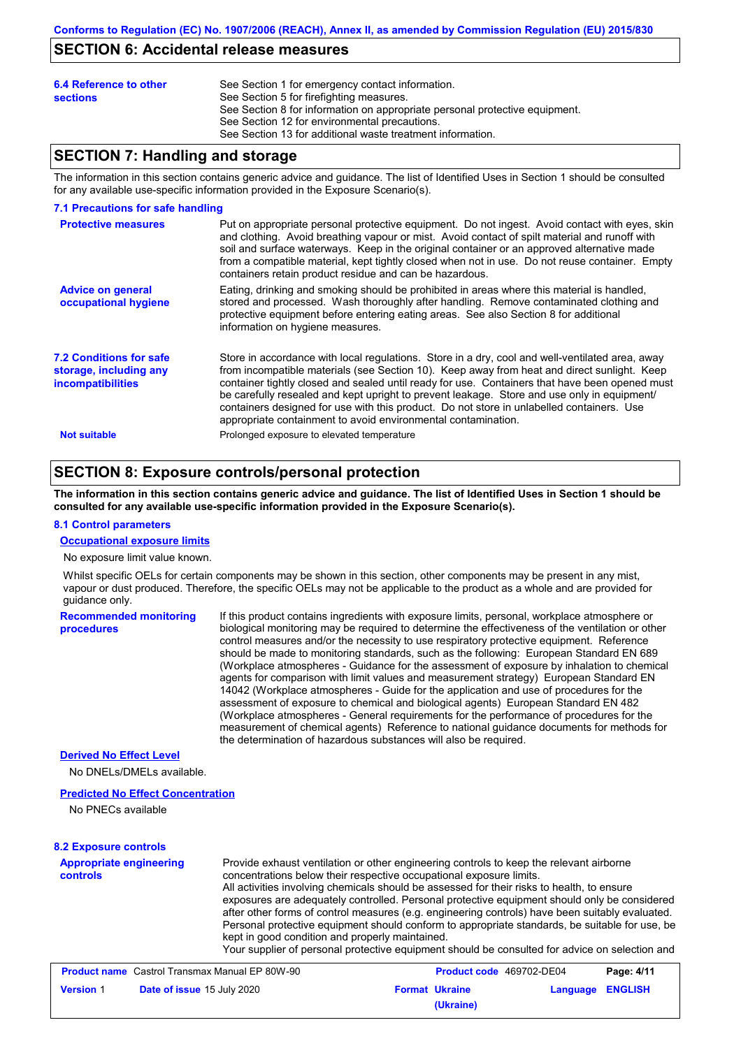## **SECTION 6: Accidental release measures**

| 6.4 Reference to other<br><b>sections</b> | See Section 1 for emergency contact information.<br>See Section 5 for firefighting measures.<br>See Section 8 for information on appropriate personal protective equipment.<br>See Section 12 for environmental precautions.<br>See Section 13 for additional waste treatment information. |
|-------------------------------------------|--------------------------------------------------------------------------------------------------------------------------------------------------------------------------------------------------------------------------------------------------------------------------------------------|
|-------------------------------------------|--------------------------------------------------------------------------------------------------------------------------------------------------------------------------------------------------------------------------------------------------------------------------------------------|

## **SECTION 7: Handling and storage**

The information in this section contains generic advice and guidance. The list of Identified Uses in Section 1 should be consulted for any available use-specific information provided in the Exposure Scenario(s).

#### **7.1 Precautions for safe handling**

| <b>Protective measures</b>                                                           | Put on appropriate personal protective equipment. Do not ingest. Avoid contact with eyes, skin<br>and clothing. Avoid breathing vapour or mist. Avoid contact of spilt material and runoff with<br>soil and surface waterways. Keep in the original container or an approved alternative made<br>from a compatible material, kept tightly closed when not in use. Do not reuse container. Empty<br>containers retain product residue and can be hazardous.                                                                                                    |
|--------------------------------------------------------------------------------------|---------------------------------------------------------------------------------------------------------------------------------------------------------------------------------------------------------------------------------------------------------------------------------------------------------------------------------------------------------------------------------------------------------------------------------------------------------------------------------------------------------------------------------------------------------------|
| <b>Advice on general</b><br>occupational hygiene                                     | Eating, drinking and smoking should be prohibited in areas where this material is handled.<br>stored and processed. Wash thoroughly after handling. Remove contaminated clothing and<br>protective equipment before entering eating areas. See also Section 8 for additional<br>information on hygiene measures.                                                                                                                                                                                                                                              |
| <b>7.2 Conditions for safe</b><br>storage, including any<br><b>incompatibilities</b> | Store in accordance with local regulations. Store in a dry, cool and well-ventilated area, away<br>from incompatible materials (see Section 10). Keep away from heat and direct sunlight. Keep<br>container tightly closed and sealed until ready for use. Containers that have been opened must<br>be carefully resealed and kept upright to prevent leakage. Store and use only in equipment/<br>containers designed for use with this product. Do not store in unlabelled containers. Use<br>appropriate containment to avoid environmental contamination. |
| <b>Not suitable</b>                                                                  | Prolonged exposure to elevated temperature                                                                                                                                                                                                                                                                                                                                                                                                                                                                                                                    |

### **SECTION 8: Exposure controls/personal protection**

**The information in this section contains generic advice and guidance. The list of Identified Uses in Section 1 should be consulted for any available use-specific information provided in the Exposure Scenario(s).**

#### **8.1 Control parameters**

**Occupational exposure limits**

No exposure limit value known.

Whilst specific OELs for certain components may be shown in this section, other components may be present in any mist, vapour or dust produced. Therefore, the specific OELs may not be applicable to the product as a whole and are provided for guidance only.

| <b>Recommended monitoring</b><br><b>procedures</b> | If this product contains ingredients with exposure limits, personal, workplace atmosphere or<br>biological monitoring may be required to determine the effectiveness of the ventilation or other<br>control measures and/or the necessity to use respiratory protective equipment. Reference<br>should be made to monitoring standards, such as the following: European Standard EN 689<br>(Workplace atmospheres - Guidance for the assessment of exposure by inhalation to chemical                                             |
|----------------------------------------------------|-----------------------------------------------------------------------------------------------------------------------------------------------------------------------------------------------------------------------------------------------------------------------------------------------------------------------------------------------------------------------------------------------------------------------------------------------------------------------------------------------------------------------------------|
|                                                    | agents for comparison with limit values and measurement strategy) European Standard EN<br>14042 (Workplace atmospheres - Guide for the application and use of procedures for the<br>assessment of exposure to chemical and biological agents) European Standard EN 482<br>(Workplace atmospheres - General requirements for the performance of procedures for the<br>measurement of chemical agents) Reference to national quidance documents for methods for<br>the determination of hazardous substances will also be required. |

### **Derived No Effect Level**

No DNELs/DMELs available.

#### **Predicted No Effect Concentration**

No PNECs available

#### **8.2 Exposure controls**

#### **Appropriate engineering controls** Provide exhaust ventilation or other engineering controls to keep the relevant airborne concentrations below their respective occupational exposure limits. All activities involving chemicals should be assessed for their risks to health, to ensure exposures are adequately controlled. Personal protective equipment should only be considered after other forms of control measures (e.g. engineering controls) have been suitably evaluated. Personal protective equipment should conform to appropriate standards, be suitable for use, be kept in good condition and properly maintained. Your supplier of personal protective equipment should be consulted for advice on selection and

| <b>Product name</b> Castrol Transmax Manual EP 80W-90 |                                   | <b>Product code</b> 469702-DE04 |                       | Page: 4/11              |  |
|-------------------------------------------------------|-----------------------------------|---------------------------------|-----------------------|-------------------------|--|
| <b>Version 1</b>                                      | <b>Date of issue 15 July 2020</b> |                                 | <b>Format Ukraine</b> | <b>Language ENGLISH</b> |  |
|                                                       |                                   |                                 | (Ukraine)             |                         |  |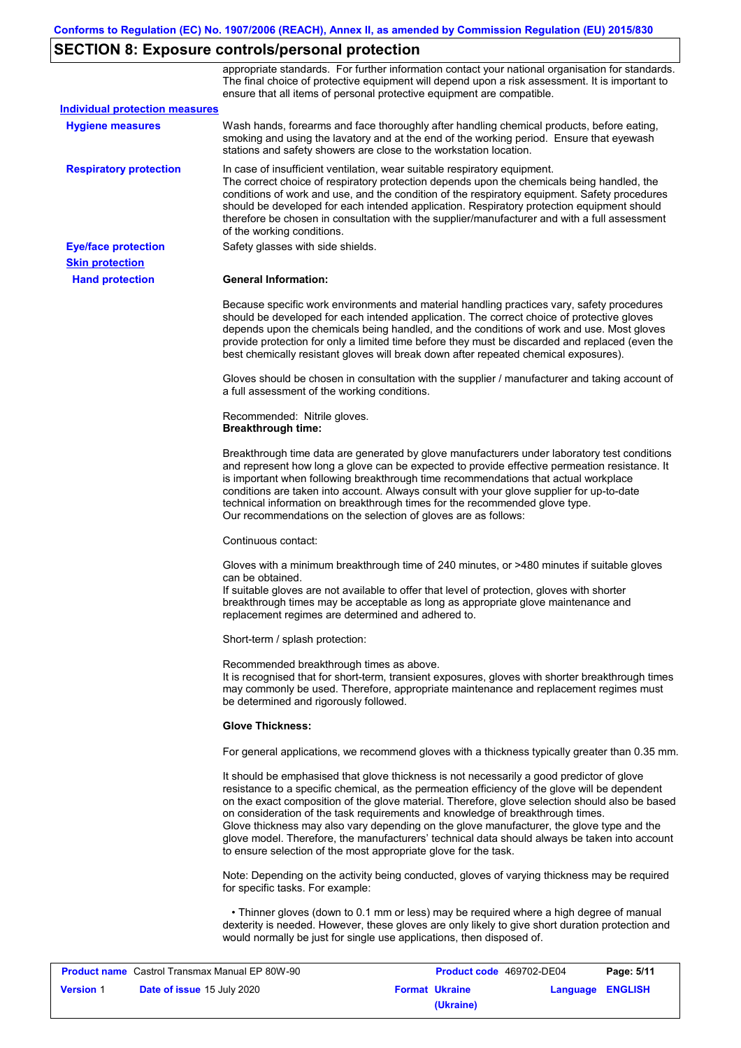# **SECTION 8: Exposure controls/personal protection**

|                                       | appropriate standards. For further information contact your national organisation for standards.<br>The final choice of protective equipment will depend upon a risk assessment. It is important to<br>ensure that all items of personal protective equipment are compatible.                                                                                                                                                                                                                                                                                                                                                                     |
|---------------------------------------|---------------------------------------------------------------------------------------------------------------------------------------------------------------------------------------------------------------------------------------------------------------------------------------------------------------------------------------------------------------------------------------------------------------------------------------------------------------------------------------------------------------------------------------------------------------------------------------------------------------------------------------------------|
| <b>Individual protection measures</b> |                                                                                                                                                                                                                                                                                                                                                                                                                                                                                                                                                                                                                                                   |
| <b>Hygiene measures</b>               | Wash hands, forearms and face thoroughly after handling chemical products, before eating,<br>smoking and using the lavatory and at the end of the working period. Ensure that eyewash<br>stations and safety showers are close to the workstation location.                                                                                                                                                                                                                                                                                                                                                                                       |
| <b>Respiratory protection</b>         | In case of insufficient ventilation, wear suitable respiratory equipment.<br>The correct choice of respiratory protection depends upon the chemicals being handled, the<br>conditions of work and use, and the condition of the respiratory equipment. Safety procedures<br>should be developed for each intended application. Respiratory protection equipment should<br>therefore be chosen in consultation with the supplier/manufacturer and with a full assessment<br>of the working conditions.                                                                                                                                             |
| <b>Eye/face protection</b>            | Safety glasses with side shields.                                                                                                                                                                                                                                                                                                                                                                                                                                                                                                                                                                                                                 |
| <b>Skin protection</b>                |                                                                                                                                                                                                                                                                                                                                                                                                                                                                                                                                                                                                                                                   |
| <b>Hand protection</b>                | <b>General Information:</b>                                                                                                                                                                                                                                                                                                                                                                                                                                                                                                                                                                                                                       |
|                                       | Because specific work environments and material handling practices vary, safety procedures<br>should be developed for each intended application. The correct choice of protective gloves<br>depends upon the chemicals being handled, and the conditions of work and use. Most gloves<br>provide protection for only a limited time before they must be discarded and replaced (even the<br>best chemically resistant gloves will break down after repeated chemical exposures).                                                                                                                                                                  |
|                                       | Gloves should be chosen in consultation with the supplier / manufacturer and taking account of<br>a full assessment of the working conditions.                                                                                                                                                                                                                                                                                                                                                                                                                                                                                                    |
|                                       | Recommended: Nitrile gloves.<br><b>Breakthrough time:</b>                                                                                                                                                                                                                                                                                                                                                                                                                                                                                                                                                                                         |
|                                       | Breakthrough time data are generated by glove manufacturers under laboratory test conditions<br>and represent how long a glove can be expected to provide effective permeation resistance. It<br>is important when following breakthrough time recommendations that actual workplace<br>conditions are taken into account. Always consult with your glove supplier for up-to-date<br>technical information on breakthrough times for the recommended glove type.<br>Our recommendations on the selection of gloves are as follows:                                                                                                                |
|                                       | Continuous contact:                                                                                                                                                                                                                                                                                                                                                                                                                                                                                                                                                                                                                               |
|                                       | Gloves with a minimum breakthrough time of 240 minutes, or >480 minutes if suitable gloves<br>can be obtained.<br>If suitable gloves are not available to offer that level of protection, gloves with shorter<br>breakthrough times may be acceptable as long as appropriate glove maintenance and<br>replacement regimes are determined and adhered to.                                                                                                                                                                                                                                                                                          |
|                                       | Short-term / splash protection:                                                                                                                                                                                                                                                                                                                                                                                                                                                                                                                                                                                                                   |
|                                       | Recommended breakthrough times as above.<br>It is recognised that for short-term, transient exposures, gloves with shorter breakthrough times<br>may commonly be used. Therefore, appropriate maintenance and replacement regimes must<br>be determined and rigorously followed.                                                                                                                                                                                                                                                                                                                                                                  |
|                                       | <b>Glove Thickness:</b>                                                                                                                                                                                                                                                                                                                                                                                                                                                                                                                                                                                                                           |
|                                       | For general applications, we recommend gloves with a thickness typically greater than 0.35 mm.                                                                                                                                                                                                                                                                                                                                                                                                                                                                                                                                                    |
|                                       | It should be emphasised that glove thickness is not necessarily a good predictor of glove<br>resistance to a specific chemical, as the permeation efficiency of the glove will be dependent<br>on the exact composition of the glove material. Therefore, glove selection should also be based<br>on consideration of the task requirements and knowledge of breakthrough times.<br>Glove thickness may also vary depending on the glove manufacturer, the glove type and the<br>glove model. Therefore, the manufacturers' technical data should always be taken into account<br>to ensure selection of the most appropriate glove for the task. |
|                                       | Note: Depending on the activity being conducted, gloves of varying thickness may be required<br>for specific tasks. For example:                                                                                                                                                                                                                                                                                                                                                                                                                                                                                                                  |
|                                       | • Thinner gloves (down to 0.1 mm or less) may be required where a high degree of manual<br>dexterity is needed. However, these gloves are only likely to give short duration protection and<br>would normally be just for single use applications, then disposed of.                                                                                                                                                                                                                                                                                                                                                                              |
|                                       |                                                                                                                                                                                                                                                                                                                                                                                                                                                                                                                                                                                                                                                   |

| <b>Product name</b> Castrol Transmax Manual EP 80W-90 |                                   | <b>Product code</b> 469702-DE04 |                       | Page: 5/11       |  |
|-------------------------------------------------------|-----------------------------------|---------------------------------|-----------------------|------------------|--|
| <b>Version 1</b>                                      | <b>Date of issue 15 July 2020</b> |                                 | <b>Format Ukraine</b> | Language ENGLISH |  |
|                                                       |                                   |                                 | (Ukraine)             |                  |  |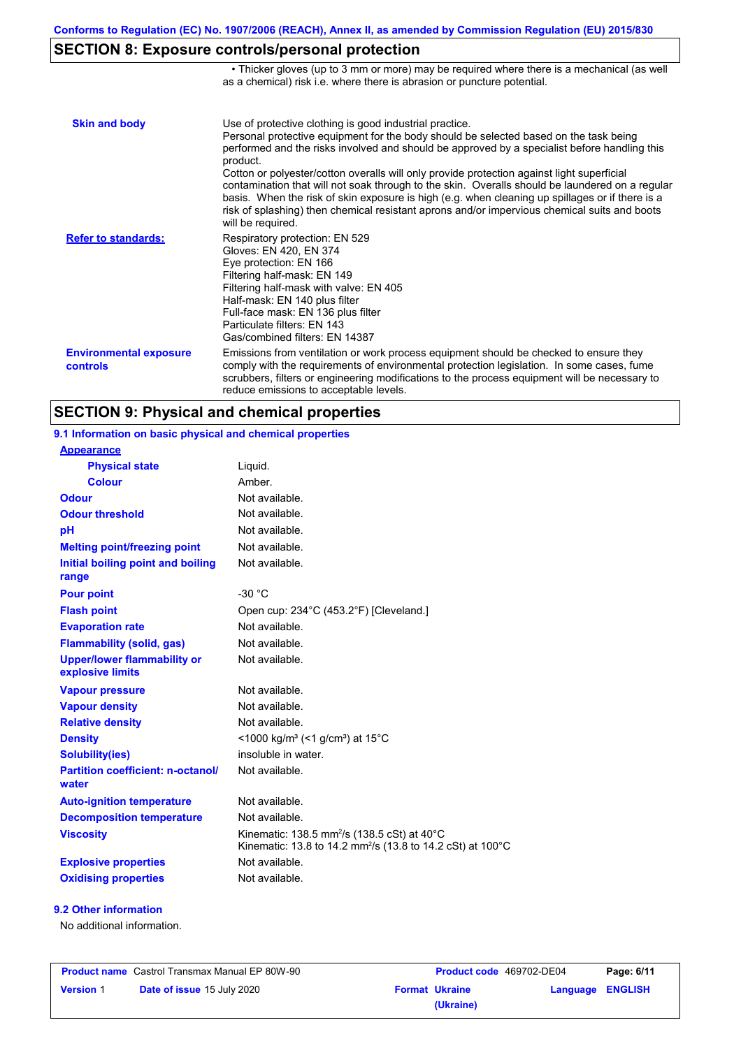• Thicker gloves (up to 3 mm or more) may be required where there is a mechanical (as well

# **SECTION 8: Exposure controls/personal protection**

|                                           | as a chemical) risk i.e. where there is abrasion or puncture potential.                                                                                                                                                                                                                                                                                                                                                                                                                                                                                                                                                                                                               |
|-------------------------------------------|---------------------------------------------------------------------------------------------------------------------------------------------------------------------------------------------------------------------------------------------------------------------------------------------------------------------------------------------------------------------------------------------------------------------------------------------------------------------------------------------------------------------------------------------------------------------------------------------------------------------------------------------------------------------------------------|
| <b>Skin and body</b>                      | Use of protective clothing is good industrial practice.<br>Personal protective equipment for the body should be selected based on the task being<br>performed and the risks involved and should be approved by a specialist before handling this<br>product.<br>Cotton or polyester/cotton overalls will only provide protection against light superficial<br>contamination that will not soak through to the skin. Overalls should be laundered on a regular<br>basis. When the risk of skin exposure is high (e.g. when cleaning up spillages or if there is a<br>risk of splashing) then chemical resistant aprons and/or impervious chemical suits and boots<br>will be required. |
| <b>Refer to standards:</b>                | Respiratory protection: EN 529<br>Gloves: EN 420, EN 374<br>Eye protection: EN 166<br>Filtering half-mask: EN 149<br>Filtering half-mask with valve: EN 405<br>Half-mask: EN 140 plus filter<br>Full-face mask: EN 136 plus filter<br>Particulate filters: EN 143<br>Gas/combined filters: EN 14387                                                                                                                                                                                                                                                                                                                                                                                   |
| <b>Environmental exposure</b><br>controls | Emissions from ventilation or work process equipment should be checked to ensure they<br>comply with the requirements of environmental protection legislation. In some cases, fume<br>scrubbers, filters or engineering modifications to the process equipment will be necessary to<br>reduce emissions to acceptable levels.                                                                                                                                                                                                                                                                                                                                                         |

# **SECTION 9: Physical and chemical properties**

| 9.1 Information on basic physical and chemical properties |                                                                                                                                              |
|-----------------------------------------------------------|----------------------------------------------------------------------------------------------------------------------------------------------|
| <b>Appearance</b>                                         |                                                                                                                                              |
| <b>Physical state</b>                                     | Liquid.                                                                                                                                      |
| <b>Colour</b>                                             | Amber.                                                                                                                                       |
| <b>Odour</b>                                              | Not available.                                                                                                                               |
| <b>Odour threshold</b>                                    | Not available.                                                                                                                               |
| pH                                                        | Not available.                                                                                                                               |
| <b>Melting point/freezing point</b>                       | Not available.                                                                                                                               |
| Initial boiling point and boiling<br>range                | Not available.                                                                                                                               |
| <b>Pour point</b>                                         | $-30 °C$                                                                                                                                     |
| <b>Flash point</b>                                        | Open cup: 234°C (453.2°F) [Cleveland.]                                                                                                       |
| <b>Evaporation rate</b>                                   | Not available.                                                                                                                               |
| <b>Flammability (solid, gas)</b>                          | Not available.                                                                                                                               |
| <b>Upper/lower flammability or</b><br>explosive limits    | Not available.                                                                                                                               |
| <b>Vapour pressure</b>                                    | Not available.                                                                                                                               |
| <b>Vapour density</b>                                     | Not available.                                                                                                                               |
| <b>Relative density</b>                                   | Not available.                                                                                                                               |
| <b>Density</b>                                            | <1000 kg/m <sup>3</sup> (<1 g/cm <sup>3</sup> ) at 15°C                                                                                      |
| Solubility(ies)                                           | insoluble in water.                                                                                                                          |
| <b>Partition coefficient: n-octanol/</b><br>water         | Not available.                                                                                                                               |
| <b>Auto-ignition temperature</b>                          | Not available.                                                                                                                               |
| <b>Decomposition temperature</b>                          | Not available.                                                                                                                               |
| <b>Viscosity</b>                                          | Kinematic: 138.5 mm <sup>2</sup> /s (138.5 cSt) at 40 $^{\circ}$ C<br>Kinematic: 13.8 to 14.2 mm <sup>2</sup> /s (13.8 to 14.2 cSt) at 100°C |
| <b>Explosive properties</b>                               | Not available.                                                                                                                               |
| <b>Oxidising properties</b>                               | Not available.                                                                                                                               |
|                                                           |                                                                                                                                              |

#### **9.2 Other information**

No additional information.

| <b>Product name</b> Castrol Transmax Manual EP 80W-90 |                                   | <b>Product code</b> 469702-DE04 |                       | Page: 6/11       |  |
|-------------------------------------------------------|-----------------------------------|---------------------------------|-----------------------|------------------|--|
| <b>Version 1</b>                                      | <b>Date of issue 15 July 2020</b> |                                 | <b>Format Ukraine</b> | Language ENGLISH |  |
|                                                       |                                   |                                 | (Ukraine)             |                  |  |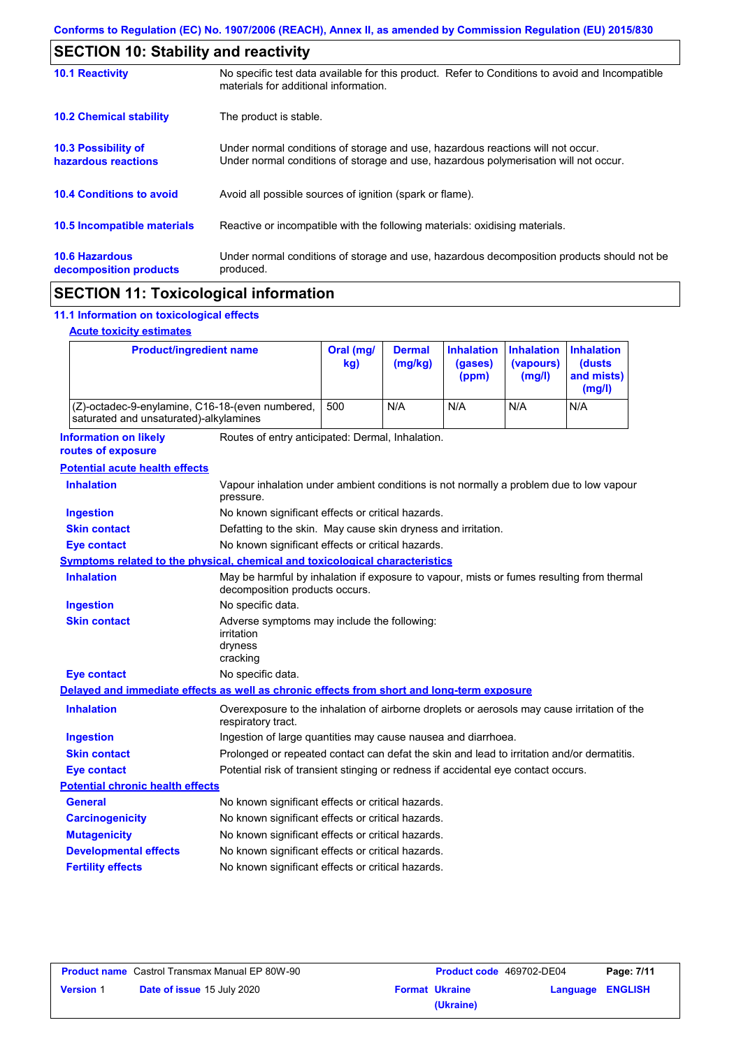| <b>SECTION 10: Stability and reactivity</b>       |                                                                                                                                                                         |
|---------------------------------------------------|-------------------------------------------------------------------------------------------------------------------------------------------------------------------------|
| <b>10.1 Reactivity</b>                            | No specific test data available for this product. Refer to Conditions to avoid and Incompatible<br>materials for additional information.                                |
| <b>10.2 Chemical stability</b>                    | The product is stable.                                                                                                                                                  |
| <b>10.3 Possibility of</b><br>hazardous reactions | Under normal conditions of storage and use, hazardous reactions will not occur.<br>Under normal conditions of storage and use, hazardous polymerisation will not occur. |
| <b>10.4 Conditions to avoid</b>                   | Avoid all possible sources of ignition (spark or flame).                                                                                                                |
| 10.5 Incompatible materials                       | Reactive or incompatible with the following materials: oxidising materials.                                                                                             |
| <b>10.6 Hazardous</b><br>decomposition products   | Under normal conditions of storage and use, hazardous decomposition products should not be<br>produced.                                                                 |
|                                                   |                                                                                                                                                                         |

## **SECTION 11: Toxicological information**

### **11.1 Information on toxicological effects**

#### **Acute toxicity estimates**

 $\mathbf I$ 

| <b>Product/ingredient name</b>                                                             |                                                                                                                   | Oral (mg/<br>kg)                                                                                                            | <b>Dermal</b><br>(mg/kg) | <b>Inhalation</b><br>(gases)<br>(ppm) | <b>Inhalation</b><br>(vapours)<br>(mg/l) | <b>Inhalation</b><br>(dusts<br>and mists)<br>(mg/l) |
|--------------------------------------------------------------------------------------------|-------------------------------------------------------------------------------------------------------------------|-----------------------------------------------------------------------------------------------------------------------------|--------------------------|---------------------------------------|------------------------------------------|-----------------------------------------------------|
| (Z)-octadec-9-enylamine, C16-18-(even numbered,<br>saturated and unsaturated)-alkylamines  |                                                                                                                   | 500                                                                                                                         | N/A                      | N/A                                   | N/A                                      | N/A                                                 |
| <b>Information on likely</b><br>routes of exposure                                         | Routes of entry anticipated: Dermal, Inhalation.                                                                  |                                                                                                                             |                          |                                       |                                          |                                                     |
| <b>Potential acute health effects</b>                                                      |                                                                                                                   |                                                                                                                             |                          |                                       |                                          |                                                     |
| <b>Inhalation</b>                                                                          | Vapour inhalation under ambient conditions is not normally a problem due to low vapour<br>pressure.               |                                                                                                                             |                          |                                       |                                          |                                                     |
| <b>Ingestion</b>                                                                           | No known significant effects or critical hazards.                                                                 |                                                                                                                             |                          |                                       |                                          |                                                     |
| <b>Skin contact</b>                                                                        | Defatting to the skin. May cause skin dryness and irritation.                                                     |                                                                                                                             |                          |                                       |                                          |                                                     |
| <b>Eye contact</b>                                                                         | No known significant effects or critical hazards.                                                                 |                                                                                                                             |                          |                                       |                                          |                                                     |
| <b>Symptoms related to the physical, chemical and toxicological characteristics</b>        |                                                                                                                   |                                                                                                                             |                          |                                       |                                          |                                                     |
| <b>Inhalation</b>                                                                          |                                                                                                                   | May be harmful by inhalation if exposure to vapour, mists or fumes resulting from thermal<br>decomposition products occurs. |                          |                                       |                                          |                                                     |
| <b>Ingestion</b>                                                                           | No specific data.                                                                                                 |                                                                                                                             |                          |                                       |                                          |                                                     |
| <b>Skin contact</b>                                                                        | Adverse symptoms may include the following:<br>irritation<br>dryness<br>cracking                                  |                                                                                                                             |                          |                                       |                                          |                                                     |
| <b>Eye contact</b>                                                                         | No specific data.                                                                                                 |                                                                                                                             |                          |                                       |                                          |                                                     |
| Delayed and immediate effects as well as chronic effects from short and long-term exposure |                                                                                                                   |                                                                                                                             |                          |                                       |                                          |                                                     |
| <b>Inhalation</b>                                                                          | Overexposure to the inhalation of airborne droplets or aerosols may cause irritation of the<br>respiratory tract. |                                                                                                                             |                          |                                       |                                          |                                                     |
| <b>Ingestion</b>                                                                           | Ingestion of large quantities may cause nausea and diarrhoea.                                                     |                                                                                                                             |                          |                                       |                                          |                                                     |
| <b>Skin contact</b>                                                                        | Prolonged or repeated contact can defat the skin and lead to irritation and/or dermatitis.                        |                                                                                                                             |                          |                                       |                                          |                                                     |
| <b>Eye contact</b>                                                                         | Potential risk of transient stinging or redness if accidental eye contact occurs.                                 |                                                                                                                             |                          |                                       |                                          |                                                     |
| <b>Potential chronic health effects</b>                                                    |                                                                                                                   |                                                                                                                             |                          |                                       |                                          |                                                     |
| General                                                                                    | No known significant effects or critical hazards.                                                                 |                                                                                                                             |                          |                                       |                                          |                                                     |
| <b>Carcinogenicity</b>                                                                     | No known significant effects or critical hazards.                                                                 |                                                                                                                             |                          |                                       |                                          |                                                     |
| <b>Mutagenicity</b>                                                                        | No known significant effects or critical hazards.                                                                 |                                                                                                                             |                          |                                       |                                          |                                                     |
| <b>Developmental effects</b>                                                               | No known significant effects or critical hazards.                                                                 |                                                                                                                             |                          |                                       |                                          |                                                     |
| <b>Fertility effects</b>                                                                   | No known significant effects or critical hazards.                                                                 |                                                                                                                             |                          |                                       |                                          |                                                     |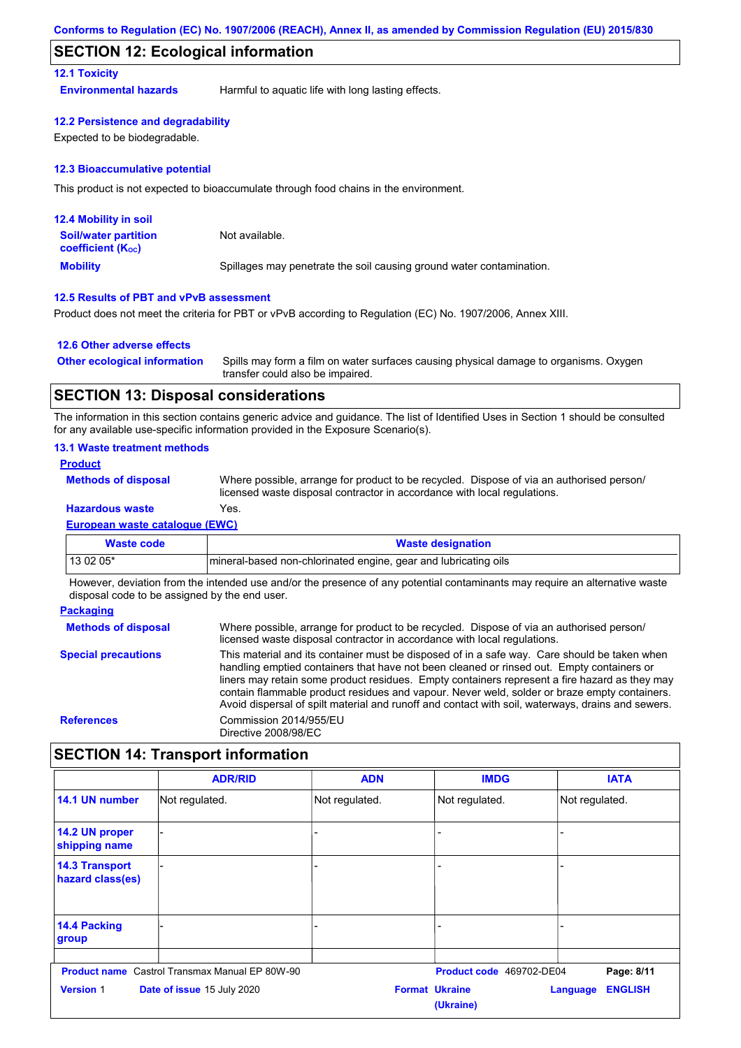### **SECTION 12: Ecological information**

#### **12.1 Toxicity**

**Environmental hazards** Harmful to aquatic life with long lasting effects.

#### **12.2 Persistence and degradability**

Expected to be biodegradable.

#### **12.3 Bioaccumulative potential**

This product is not expected to bioaccumulate through food chains in the environment.

| <b>12.4 Mobility in soil</b>                                  |                                                                      |
|---------------------------------------------------------------|----------------------------------------------------------------------|
| <b>Soil/water partition</b><br>coefficient (K <sub>oc</sub> ) | Not available.                                                       |
| <b>Mobility</b>                                               | Spillages may penetrate the soil causing ground water contamination. |

#### **12.5 Results of PBT and vPvB assessment**

Product does not meet the criteria for PBT or vPvB according to Regulation (EC) No. 1907/2006, Annex XIII.

#### **12.6 Other adverse effects**

Spills may form a film on water surfaces causing physical damage to organisms. Oxygen transfer could also be impaired. **Other ecological information**

## **SECTION 13: Disposal considerations**

The information in this section contains generic advice and guidance. The list of Identified Uses in Section 1 should be consulted for any available use-specific information provided in the Exposure Scenario(s).

#### **13.1 Waste treatment methods**

#### **European waste catalogue (EWC) Hazardous waste** Yes. Where possible, arrange for product to be recycled. Dispose of via an authorised person/ licensed waste disposal contractor in accordance with local regulations. **Methods of disposal Product**

| Waste code | <b>Waste designation</b>                                        |
|------------|-----------------------------------------------------------------|
| 13 02 05*  | mineral-based non-chlorinated engine, gear and lubricating oils |

However, deviation from the intended use and/or the presence of any potential contaminants may require an alternative waste disposal code to be assigned by the end user.

| <b>Packaging</b>           |                                                                                                                                                                                                                                                                                                                                                                                                                                                                                                 |
|----------------------------|-------------------------------------------------------------------------------------------------------------------------------------------------------------------------------------------------------------------------------------------------------------------------------------------------------------------------------------------------------------------------------------------------------------------------------------------------------------------------------------------------|
| <b>Methods of disposal</b> | Where possible, arrange for product to be recycled. Dispose of via an authorised person/<br>licensed waste disposal contractor in accordance with local regulations.                                                                                                                                                                                                                                                                                                                            |
| <b>Special precautions</b> | This material and its container must be disposed of in a safe way. Care should be taken when<br>handling emptied containers that have not been cleaned or rinsed out. Empty containers or<br>liners may retain some product residues. Empty containers represent a fire hazard as they may<br>contain flammable product residues and vapour. Never weld, solder or braze empty containers.<br>Avoid dispersal of spilt material and runoff and contact with soil, waterways, drains and sewers. |
| <b>References</b>          | Commission 2014/955/EU<br>Directive 2008/98/EC                                                                                                                                                                                                                                                                                                                                                                                                                                                  |

## **SECTION 14: Transport information**

|                                           | <b>ADR/RID</b>                                        | <b>ADN</b>     | <b>IMDG</b>                        | <b>IATA</b>                       |
|-------------------------------------------|-------------------------------------------------------|----------------|------------------------------------|-----------------------------------|
| 14.1 UN number                            | Not regulated.                                        | Not regulated. | Not regulated.                     | Not regulated.                    |
| 14.2 UN proper<br>shipping name           |                                                       |                |                                    |                                   |
| <b>14.3 Transport</b><br>hazard class(es) |                                                       |                | $\overline{\phantom{0}}$           |                                   |
| 14.4 Packing<br>group                     |                                                       | ۰              |                                    |                                   |
|                                           | <b>Product name</b> Castrol Transmax Manual EP 80W-90 |                | Product code 469702-DE04           | Page: 8/11                        |
| <b>Version 1</b>                          | Date of issue 15 July 2020                            |                | <b>Format Ukraine</b><br>(Ukraine) | <b>ENGLISH</b><br><b>Language</b> |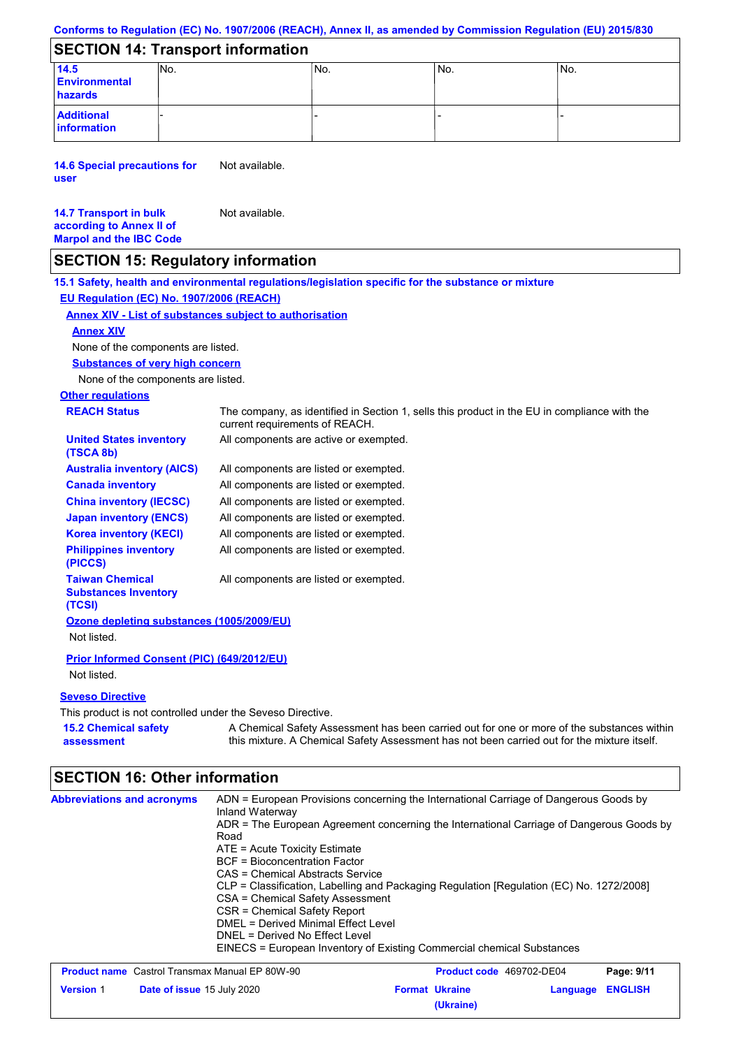#### **Conforms to Regulation (EC) No. 1907/2006 (REACH), Annex II, as amended by Commission Regulation (EU) 2015/830**

## **SECTION 14: Transport information**

| 14.5<br><b>Environmental</b><br>hazards | INo. | 'No. | 'No. | INo. |
|-----------------------------------------|------|------|------|------|
| <b>Additional</b><br>information        |      |      |      |      |

**14.6 Special precautions for user** Not available.

#### **14.7 Transport in bulk according to Annex II of Marpol and the IBC Code** Not available.

## **SECTION 15: Regulatory information**

**Other regulations REACH Status** The company, as identified in Section 1, sells this product in the EU in compliance with the current requirements of REACH. **15.1 Safety, health and environmental regulations/legislation specific for the substance or mixture EU Regulation (EC) No. 1907/2006 (REACH) Annex XIV - List of substances subject to authorisation 15.2 Chemical safety assessment Substances of very high concern** None of the components are listed. All components are listed or exempted. All components are listed or exempted. All components are listed or exempted. All components are listed or exempted. All components are active or exempted. All components are listed or exempted. All components are listed or exempted. **United States inventory (TSCA 8b) Australia inventory (AICS) Canada inventory China inventory (IECSC) Japan inventory (ENCS) Korea inventory (KECI) Philippines inventory (PICCS) Taiwan Chemical Substances Inventory (TCSI)** All components are listed or exempted. **Ozone depleting substances (1005/2009/EU)** Not listed. **Prior Informed Consent (PIC) (649/2012/EU)** Not listed. **Seveso Directive** This product is not controlled under the Seveso Directive. A Chemical Safety Assessment has been carried out for one or more of the substances within this mixture. A Chemical Safety Assessment has not been carried out for the mixture itself. None of the components are listed. **Annex XIV**

## **SECTION 16: Other information**

| <b>Abbreviations and acronyms</b> | ADN = European Provisions concerning the International Carriage of Dangerous Goods by<br>Inland Waterway<br>ADR = The European Agreement concerning the International Carriage of Dangerous Goods by<br>Road<br>$ATE = Acute Toxicity Estimate$<br><b>BCF</b> = Bioconcentration Factor<br>CAS = Chemical Abstracts Service<br>CLP = Classification, Labelling and Packaging Regulation [Regulation (EC) No. 1272/2008]<br>CSA = Chemical Safety Assessment<br>CSR = Chemical Safety Report<br>DMEL = Derived Minimal Effect Level<br>DNEL = Derived No Effect Level<br>EINECS = European Inventory of Existing Commercial chemical Substances |
|-----------------------------------|------------------------------------------------------------------------------------------------------------------------------------------------------------------------------------------------------------------------------------------------------------------------------------------------------------------------------------------------------------------------------------------------------------------------------------------------------------------------------------------------------------------------------------------------------------------------------------------------------------------------------------------------|
|-----------------------------------|------------------------------------------------------------------------------------------------------------------------------------------------------------------------------------------------------------------------------------------------------------------------------------------------------------------------------------------------------------------------------------------------------------------------------------------------------------------------------------------------------------------------------------------------------------------------------------------------------------------------------------------------|

| <b>Product name</b> Castrol Transmax Manual EP 80W-90 |                                   | <b>Product code</b> 469702-DE04 |                       | Page: 9/11       |  |
|-------------------------------------------------------|-----------------------------------|---------------------------------|-----------------------|------------------|--|
| <b>Version 1</b>                                      | <b>Date of issue 15 July 2020</b> |                                 | <b>Format Ukraine</b> | Language ENGLISH |  |
|                                                       |                                   |                                 | (Ukraine)             |                  |  |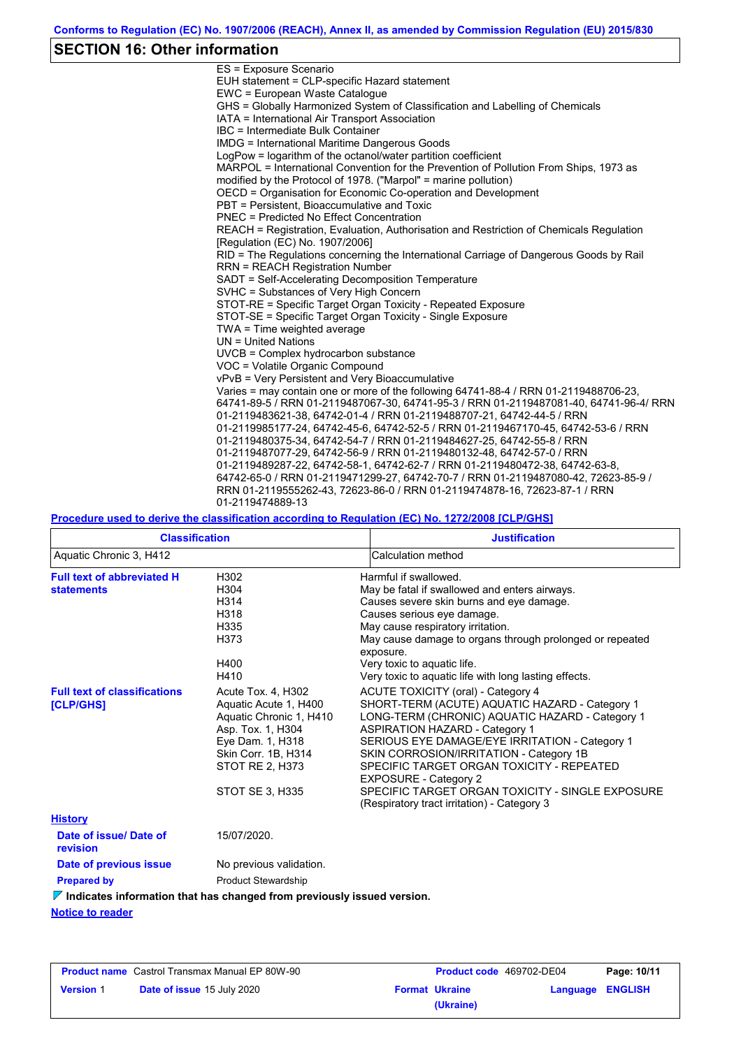## **SECTION 16: Other information**

| ES = Exposure Scenario                                                                  |
|-----------------------------------------------------------------------------------------|
| EUH statement = CLP-specific Hazard statement                                           |
| EWC = European Waste Catalogue                                                          |
| GHS = Globally Harmonized System of Classification and Labelling of Chemicals           |
| IATA = International Air Transport Association                                          |
| IBC = Intermediate Bulk Container                                                       |
| IMDG = International Maritime Dangerous Goods                                           |
| LogPow = logarithm of the octanol/water partition coefficient                           |
| MARPOL = International Convention for the Prevention of Pollution From Ships, 1973 as   |
| modified by the Protocol of 1978. ("Marpol" = marine pollution)                         |
| OECD = Organisation for Economic Co-operation and Development                           |
| PBT = Persistent, Bioaccumulative and Toxic                                             |
| <b>PNEC = Predicted No Effect Concentration</b>                                         |
| REACH = Registration, Evaluation, Authorisation and Restriction of Chemicals Regulation |
| [Requlation (EC) No. 1907/2006]                                                         |
| RID = The Regulations concerning the International Carriage of Dangerous Goods by Rail  |
| <b>RRN = REACH Registration Number</b>                                                  |
| SADT = Self-Accelerating Decomposition Temperature                                      |
| SVHC = Substances of Very High Concern                                                  |
| STOT-RE = Specific Target Organ Toxicity - Repeated Exposure                            |
| STOT-SE = Specific Target Organ Toxicity - Single Exposure                              |
| TWA = Time weighted average                                                             |
| $UN = United Nations$                                                                   |
| UVCB = Complex hydrocarbon substance                                                    |
| VOC = Volatile Organic Compound                                                         |
| vPvB = Very Persistent and Very Bioaccumulative                                         |
| Varies = may contain one or more of the following 64741-88-4 / RRN 01-2119488706-23,    |
| 64741-89-5 / RRN 01-2119487067-30, 64741-95-3 / RRN 01-2119487081-40, 64741-96-4/ RRN   |
| 01-2119483621-38, 64742-01-4 / RRN 01-2119488707-21, 64742-44-5 / RRN                   |
| 01-2119985177-24, 64742-45-6, 64742-52-5 / RRN 01-2119467170-45, 64742-53-6 / RRN       |
| 01-2119480375-34, 64742-54-7 / RRN 01-2119484627-25, 64742-55-8 / RRN                   |
| 01-2119487077-29, 64742-56-9 / RRN 01-2119480132-48, 64742-57-0 / RRN                   |
| 01-2119489287-22, 64742-58-1, 64742-62-7 / RRN 01-2119480472-38, 64742-63-8,            |
| 64742-65-0 / RRN 01-2119471299-27, 64742-70-7 / RRN 01-2119487080-42, 72623-85-9 /      |
| RRN 01-2119555262-43, 72623-86-0 / RRN 01-2119474878-16, 72623-87-1 / RRN               |
| 01-2119474889-13                                                                        |

**Procedure used to derive the classification according to Regulation (EC) No. 1272/2008 [CLP/GHS]**

| <b>Classification</b>                                                                                                  |                                                                                                                                                                                     | <b>Justification</b>                                                                                                                                                                                                                                                                                                                                                                                                                                          |  |  |  |
|------------------------------------------------------------------------------------------------------------------------|-------------------------------------------------------------------------------------------------------------------------------------------------------------------------------------|---------------------------------------------------------------------------------------------------------------------------------------------------------------------------------------------------------------------------------------------------------------------------------------------------------------------------------------------------------------------------------------------------------------------------------------------------------------|--|--|--|
| Aquatic Chronic 3, H412                                                                                                |                                                                                                                                                                                     | Calculation method                                                                                                                                                                                                                                                                                                                                                                                                                                            |  |  |  |
| <b>Full text of abbreviated H</b><br>H302<br>H304<br><b>statements</b><br>H314<br>H318<br>H335<br>H373<br>H400<br>H410 |                                                                                                                                                                                     | Harmful if swallowed.<br>May be fatal if swallowed and enters airways.<br>Causes severe skin burns and eye damage.<br>Causes serious eye damage.<br>May cause respiratory irritation.<br>May cause damage to organs through prolonged or repeated<br>exposure.<br>Very toxic to aquatic life.<br>Very toxic to aquatic life with long lasting effects.                                                                                                        |  |  |  |
| <b>Full text of classifications</b><br><b>[CLP/GHS]</b>                                                                | Acute Tox. 4, H302<br>Aquatic Acute 1, H400<br>Aquatic Chronic 1, H410<br>Asp. Tox. 1, H304<br>Eye Dam. 1, H318<br>Skin Corr. 1B, H314<br>STOT RE 2, H373<br><b>STOT SE 3, H335</b> | ACUTE TOXICITY (oral) - Category 4<br>SHORT-TERM (ACUTE) AQUATIC HAZARD - Category 1<br>LONG-TERM (CHRONIC) AQUATIC HAZARD - Category 1<br><b>ASPIRATION HAZARD - Category 1</b><br>SERIOUS EYE DAMAGE/EYE IRRITATION - Category 1<br>SKIN CORROSION/IRRITATION - Category 1B<br>SPECIFIC TARGET ORGAN TOXICITY - REPEATED<br><b>EXPOSURE - Category 2</b><br>SPECIFIC TARGET ORGAN TOXICITY - SINGLE EXPOSURE<br>(Respiratory tract irritation) - Category 3 |  |  |  |
| <b>History</b>                                                                                                         |                                                                                                                                                                                     |                                                                                                                                                                                                                                                                                                                                                                                                                                                               |  |  |  |
| Date of issue/Date of<br>revision                                                                                      | 15/07/2020.                                                                                                                                                                         |                                                                                                                                                                                                                                                                                                                                                                                                                                                               |  |  |  |
| Date of previous issue                                                                                                 | No previous validation.                                                                                                                                                             |                                                                                                                                                                                                                                                                                                                                                                                                                                                               |  |  |  |
| <b>Prepared by</b>                                                                                                     | <b>Product Stewardship</b>                                                                                                                                                          |                                                                                                                                                                                                                                                                                                                                                                                                                                                               |  |  |  |
|                                                                                                                        | $\nabla$ Indicates information that has changed from previously issued version.                                                                                                     |                                                                                                                                                                                                                                                                                                                                                                                                                                                               |  |  |  |
| <b>Notice to reader</b>                                                                                                |                                                                                                                                                                                     |                                                                                                                                                                                                                                                                                                                                                                                                                                                               |  |  |  |

| <b>Product name</b> Castrol Transmax Manual EP 80W-90 |                                   | <b>Product code</b> 469702-DE04 |                       | Page: 10/11             |  |
|-------------------------------------------------------|-----------------------------------|---------------------------------|-----------------------|-------------------------|--|
| <b>Version 1</b>                                      | <b>Date of issue 15 July 2020</b> |                                 | <b>Format Ukraine</b> | <b>Language ENGLISH</b> |  |
|                                                       |                                   |                                 | (Ukraine)             |                         |  |